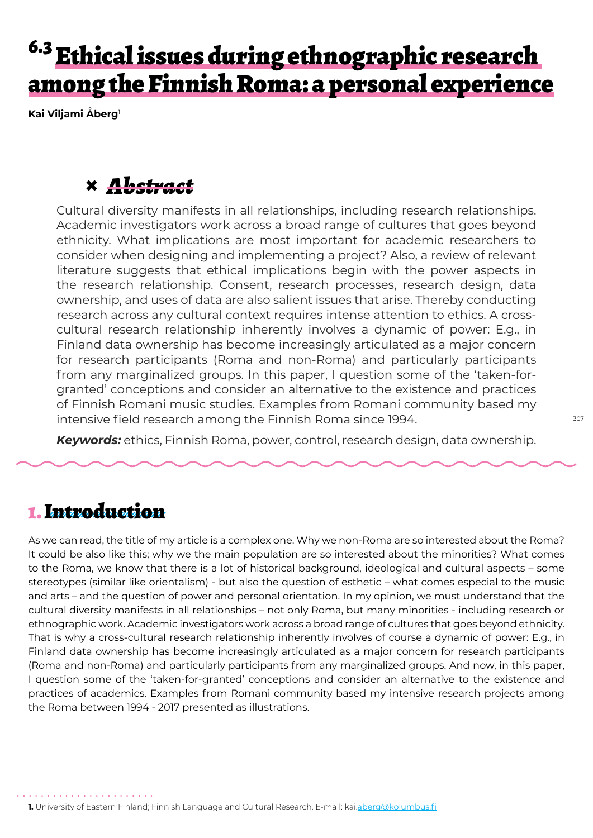# <sup>6.3</sup> Ethical issues during ethnographic research among the Finnish Roma: a personal experience

**Kai Viljami Åberg**<sup>1</sup>

### **×** *Abstract*

Cultural diversity manifests in all relationships, including research relationships. Academic investigators work across a broad range of cultures that goes beyond ethnicity. What implications are most important for academic researchers to consider when designing and implementing a project? Also, a review of relevant literature suggests that ethical implications begin with the power aspects in the research relationship. Consent, research processes, research design, data ownership, and uses of data are also salient issues that arise. Thereby conducting research across any cultural context requires intense attention to ethics. A crosscultural research relationship inherently involves a dynamic of power: E.g., in Finland data ownership has become increasingly articulated as a major concern for research participants (Roma and non-Roma) and particularly participants from any marginalized groups. In this paper, I question some of the 'taken-forgranted' conceptions and consider an alternative to the existence and practices of Finnish Romani music studies. Examples from Romani community based my intensive field research among the Finnish Roma since 1994.

*Keywords:* ethics, Finnish Roma, power, control, research design, data ownership.

### 1. Introduction

As we can read, the title of my article is a complex one. Why we non-Roma are so interested about the Roma? It could be also like this; why we the main population are so interested about the minorities? What comes to the Roma, we know that there is a lot of historical background, ideological and cultural aspects – some stereotypes (similar like orientalism) - but also the question of esthetic – what comes especial to the music and arts – and the question of power and personal orientation. In my opinion, we must understand that the cultural diversity manifests in all relationships – not only Roma, but many minorities - including research or ethnographic work. Academic investigators work across a broad range of cultures that goes beyond ethnicity. That is why a cross-cultural research relationship inherently involves of course a dynamic of power: E.g., in Finland data ownership has become increasingly articulated as a major concern for research participants (Roma and non-Roma) and particularly participants from any marginalized groups. And now, in this paper, I question some of the 'taken-for-granted' conceptions and consider an alternative to the existence and practices of academics. Examples from Romani community based my intensive research projects among the Roma between 1994 - 2017 presented as illustrations.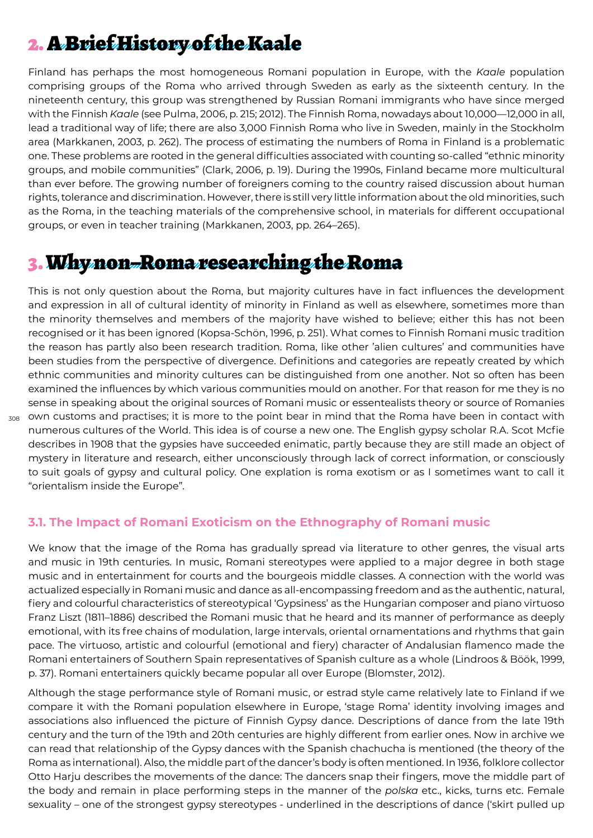## 2. A Brief History of the Kaale

Finland has perhaps the most homogeneous Romani population in Europe, with the *Kaale* population comprising groups of the Roma who arrived through Sweden as early as the sixteenth century. In the nineteenth century, this group was strengthened by Russian Romani immigrants who have since merged with the Finnish *Kaale* (see Pulma, 2006, p. 215; 2012). The Finnish Roma, nowadays about 10,000—12,000 in all, lead a traditional way of life; there are also 3,000 Finnish Roma who live in Sweden, mainly in the Stockholm area (Markkanen, 2003, p. 262). The process of estimating the numbers of Roma in Finland is a problematic one. These problems are rooted in the general difficulties associated with counting so-called "ethnic minority groups, and mobile communities" (Clark, 2006, p. 19). During the 1990s, Finland became more multicultural than ever before. The growing number of foreigners coming to the country raised discussion about human rights, tolerance and discrimination. However, there is still very little information about the old minorities, such as the Roma, in the teaching materials of the comprehensive school, in materials for different occupational groups, or even in teacher training (Markkanen, 2003, pp. 264–265).

### 3. Why non–Roma researching the Roma

 $_{\rm 308}$  own customs and practises; it is more to the point bear in mind that the Roma have been in contact with This is not only question about the Roma, but majority cultures have in fact influences the development and expression in all of cultural identity of minority in Finland as well as elsewhere, sometimes more than the minority themselves and members of the majority have wished to believe; either this has not been recognised or it has been ignored (Kopsa-Schön, 1996, p. 251). What comes to Finnish Romani music tradition the reason has partly also been research tradition. Roma, like other 'alien cultures' and communities have been studies from the perspective of divergence. Definitions and categories are repeatly created by which ethnic communities and minority cultures can be distinguished from one another. Not so often has been examined the influences by which various communities mould on another. For that reason for me they is no sense in speaking about the original sources of Romani music or essentealists theory or source of Romanies numerous cultures of the World. This idea is of course a new one. The English gypsy scholar R.A. Scot Mcfie describes in 1908 that the gypsies have succeeded enimatic, partly because they are still made an object of mystery in literature and research, either unconsciously through lack of correct information, or consciously to suit goals of gypsy and cultural policy. One explation is roma exotism or as I sometimes want to call it "orientalism inside the Europe".

#### **3.1. The Impact of Romani Exoticism on the Ethnography of Romani music**

We know that the image of the Roma has gradually spread via literature to other genres, the visual arts and music in 19th centuries. In music, Romani stereotypes were applied to a major degree in both stage music and in entertainment for courts and the bourgeois middle classes. A connection with the world was actualized especially in Romani music and dance as all-encompassing freedom and as the authentic, natural, fiery and colourful characteristics of stereotypical 'Gypsiness' as the Hungarian composer and piano virtuoso Franz Liszt (1811–1886) described the Romani music that he heard and its manner of performance as deeply emotional, with its free chains of modulation, large intervals, oriental ornamentations and rhythms that gain pace. The virtuoso, artistic and colourful (emotional and fiery) character of Andalusian flamenco made the Romani entertainers of Southern Spain representatives of Spanish culture as a whole (Lindroos & Böök, 1999, p. 37). Romani entertainers quickly became popular all over Europe (Blomster, 2012).

Although the stage performance style of Romani music, or estrad style came relatively late to Finland if we compare it with the Romani population elsewhere in Europe, 'stage Roma' identity involving images and associations also influenced the picture of Finnish Gypsy dance. Descriptions of dance from the late 19th century and the turn of the 19th and 20th centuries are highly different from earlier ones. Now in archive we can read that relationship of the Gypsy dances with the Spanish chachucha is mentioned (the theory of the Roma as international). Also, the middle part of the dancer's body is often mentioned. In 1936, folklore collector Otto Harju describes the movements of the dance: The dancers snap their fingers, move the middle part of the body and remain in place performing steps in the manner of the *polska* etc., kicks, turns etc. Female sexuality – one of the strongest gypsy stereotypes - underlined in the descriptions of dance ('skirt pulled up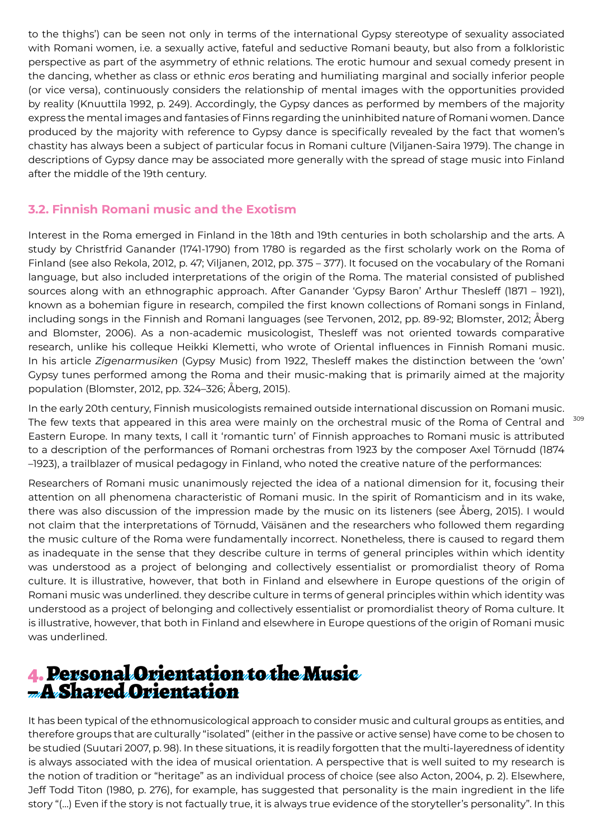to the thighs') can be seen not only in terms of the international Gypsy stereotype of sexuality associated with Romani women, i.e. a sexually active, fateful and seductive Romani beauty, but also from a folkloristic perspective as part of the asymmetry of ethnic relations. The erotic humour and sexual comedy present in the dancing, whether as class or ethnic *eros* berating and humiliating marginal and socially inferior people (or vice versa), continuously considers the relationship of mental images with the opportunities provided by reality (Knuuttila 1992, p. 249). Accordingly, the Gypsy dances as performed by members of the majority express the mental images and fantasies of Finns regarding the uninhibited nature of Romani women. Dance produced by the majority with reference to Gypsy dance is specifically revealed by the fact that women's chastity has always been a subject of particular focus in Romani culture (Viljanen-Saira 1979). The change in descriptions of Gypsy dance may be associated more generally with the spread of stage music into Finland after the middle of the 19th century.

### **3.2. Finnish Romani music and the Exotism**

Interest in the Roma emerged in Finland in the 18th and 19th centuries in both scholarship and the arts. A study by Christfrid Ganander (1741-1790) from 1780 is regarded as the first scholarly work on the Roma of Finland (see also Rekola, 2012, p. 47; Viljanen, 2012, pp. 375 – 377). It focused on the vocabulary of the Romani language, but also included interpretations of the origin of the Roma. The material consisted of published sources along with an ethnographic approach. After Ganander 'Gypsy Baron' Arthur Thesleff (1871 – 1921), known as a bohemian figure in research, compiled the first known collections of Romani songs in Finland, including songs in the Finnish and Romani languages (see Tervonen, 2012, pp. 89-92; Blomster, 2012; Åberg and Blomster, 2006). As a non-academic musicologist, Thesleff was not oriented towards comparative research, unlike his colleque Heikki Klemetti, who wrote of Oriental influences in Finnish Romani music. In his article *Zigenarmusiken* (Gypsy Music) from 1922, Thesleff makes the distinction between the 'own' Gypsy tunes performed among the Roma and their music-making that is primarily aimed at the majority population (Blomster, 2012, pp. 324–326; Åberg, 2015).

In the early 20th century, Finnish musicologists remained outside international discussion on Romani music. The few texts that appeared in this area were mainly on the orchestral music of the Roma of Central and Eastern Europe. In many texts, I call it 'romantic turn' of Finnish approaches to Romani music is attributed to a description of the performances of Romani orchestras from 1923 by the composer Axel Törnudd (1874 –1923), a trailblazer of musical pedagogy in Finland, who noted the creative nature of the performances:

309

Researchers of Romani music unanimously rejected the idea of a national dimension for it, focusing their attention on all phenomena characteristic of Romani music. In the spirit of Romanticism and in its wake, there was also discussion of the impression made by the music on its listeners (see Åberg, 2015). I would not claim that the interpretations of Törnudd, Väisänen and the researchers who followed them regarding the music culture of the Roma were fundamentally incorrect. Nonetheless, there is caused to regard them as inadequate in the sense that they describe culture in terms of general principles within which identity was understood as a project of belonging and collectively essentialist or promordialist theory of Roma culture. It is illustrative, however, that both in Finland and elsewhere in Europe questions of the origin of Romani music was underlined. they describe culture in terms of general principles within which identity was understood as a project of belonging and collectively essentialist or promordialist theory of Roma culture. It is illustrative, however, that both in Finland and elsewhere in Europe questions of the origin of Romani music was underlined.

### 4. Personal Orientation to the Music – A Shared Orientation

It has been typical of the ethnomusicological approach to consider music and cultural groups as entities, and therefore groups that are culturally "isolated" (either in the passive or active sense) have come to be chosen to be studied (Suutari 2007, p. 98). In these situations, it is readily forgotten that the multi-layeredness of identity is always associated with the idea of musical orientation. A perspective that is well suited to my research is the notion of tradition or "heritage" as an individual process of choice (see also Acton, 2004, p. 2). Elsewhere, Jeff Todd Titon (1980, p. 276), for example, has suggested that personality is the main ingredient in the life story "(…) Even if the story is not factually true, it is always true evidence of the storyteller's personality". In this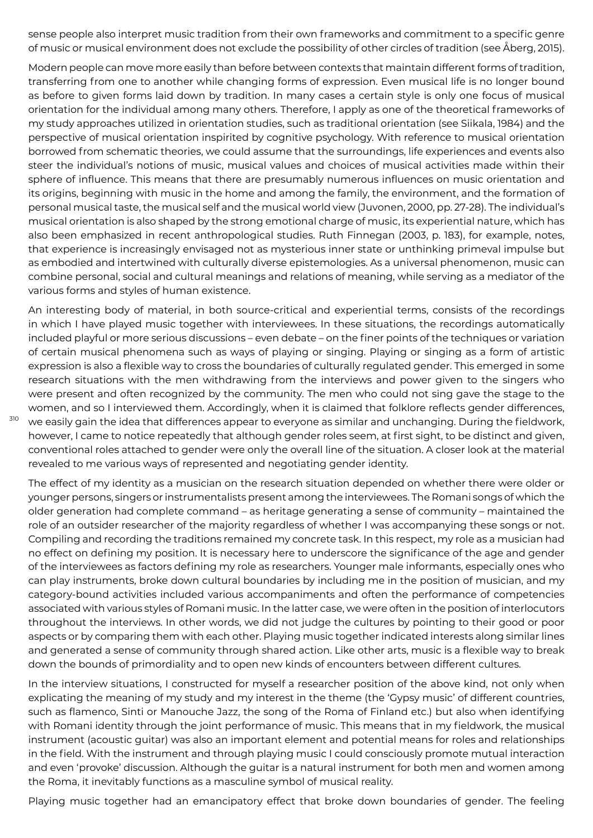sense people also interpret music tradition from their own frameworks and commitment to a specific genre of music or musical environment does not exclude the possibility of other circles of tradition (see Åberg, 2015).

Modern people can move more easily than before between contexts that maintain different forms of tradition, transferring from one to another while changing forms of expression. Even musical life is no longer bound as before to given forms laid down by tradition. In many cases a certain style is only one focus of musical orientation for the individual among many others. Therefore, I apply as one of the theoretical frameworks of my study approaches utilized in orientation studies, such as traditional orientation (see Siikala, 1984) and the perspective of musical orientation inspirited by cognitive psychology. With reference to musical orientation borrowed from schematic theories, we could assume that the surroundings, life experiences and events also steer the individual's notions of music, musical values and choices of musical activities made within their sphere of influence. This means that there are presumably numerous influences on music orientation and its origins, beginning with music in the home and among the family, the environment, and the formation of personal musical taste, the musical self and the musical world view (Juvonen, 2000, pp. 27-28). The individual's musical orientation is also shaped by the strong emotional charge of music, its experiential nature, which has also been emphasized in recent anthropological studies. Ruth Finnegan (2003, p. 183), for example, notes, that experience is increasingly envisaged not as mysterious inner state or unthinking primeval impulse but as embodied and intertwined with culturally diverse epistemologies. As a universal phenomenon, music can combine personal, social and cultural meanings and relations of meaning, while serving as a mediator of the various forms and styles of human existence.

An interesting body of material, in both source-critical and experiential terms, consists of the recordings in which I have played music together with interviewees. In these situations, the recordings automatically included playful or more serious discussions – even debate – on the finer points of the techniques or variation of certain musical phenomena such as ways of playing or singing. Playing or singing as a form of artistic expression is also a flexible way to cross the boundaries of culturally regulated gender. This emerged in some research situations with the men withdrawing from the interviews and power given to the singers who were present and often recognized by the community. The men who could not sing gave the stage to the women, and so I interviewed them. Accordingly, when it is claimed that folklore reflects gender differences, we easily gain the idea that differences appear to everyone as similar and unchanging. During the fieldwork, however, I came to notice repeatedly that although gender roles seem, at first sight, to be distinct and given, conventional roles attached to gender were only the overall line of the situation. A closer look at the material revealed to me various ways of represented and negotiating gender identity.

310

The effect of my identity as a musician on the research situation depended on whether there were older or younger persons, singers or instrumentalists present among the interviewees. The Romani songs of which the older generation had complete command – as heritage generating a sense of community – maintained the role of an outsider researcher of the majority regardless of whether I was accompanying these songs or not. Compiling and recording the traditions remained my concrete task. In this respect, my role as a musician had no effect on defining my position. It is necessary here to underscore the significance of the age and gender of the interviewees as factors defining my role as researchers. Younger male informants, especially ones who can play instruments, broke down cultural boundaries by including me in the position of musician, and my category-bound activities included various accompaniments and often the performance of competencies associated with various styles of Romani music. In the latter case, we were often in the position of interlocutors throughout the interviews. In other words, we did not judge the cultures by pointing to their good or poor aspects or by comparing them with each other. Playing music together indicated interests along similar lines and generated a sense of community through shared action. Like other arts, music is a flexible way to break down the bounds of primordiality and to open new kinds of encounters between different cultures.

In the interview situations, I constructed for myself a researcher position of the above kind, not only when explicating the meaning of my study and my interest in the theme (the 'Gypsy music' of different countries, such as flamenco, Sinti or Manouche Jazz, the song of the Roma of Finland etc.) but also when identifying with Romani identity through the joint performance of music. This means that in my fieldwork, the musical instrument (acoustic guitar) was also an important element and potential means for roles and relationships in the field. With the instrument and through playing music I could consciously promote mutual interaction and even 'provoke' discussion. Although the guitar is a natural instrument for both men and women among the Roma, it inevitably functions as a masculine symbol of musical reality.

Playing music together had an emancipatory effect that broke down boundaries of gender. The feeling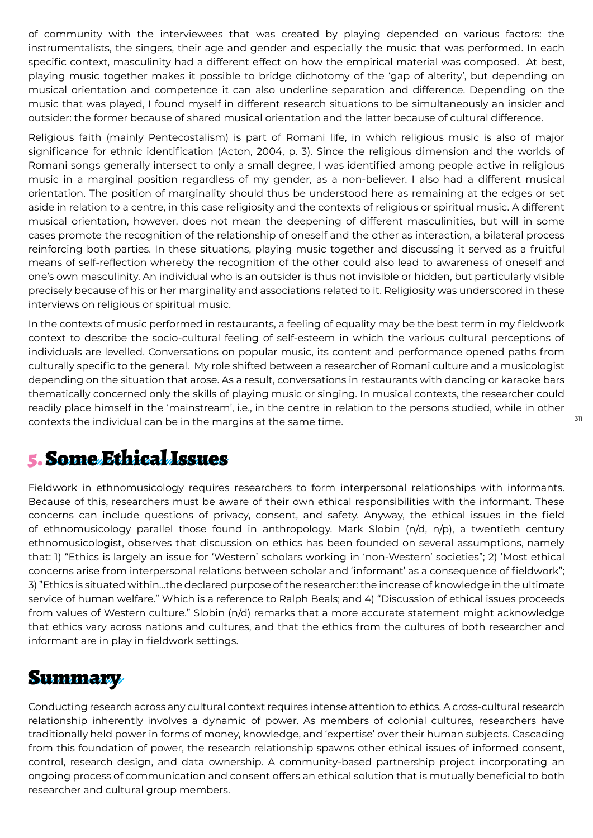of community with the interviewees that was created by playing depended on various factors: the instrumentalists, the singers, their age and gender and especially the music that was performed. In each specific context, masculinity had a different effect on how the empirical material was composed. At best, playing music together makes it possible to bridge dichotomy of the 'gap of alterity', but depending on musical orientation and competence it can also underline separation and difference. Depending on the music that was played, I found myself in different research situations to be simultaneously an insider and outsider: the former because of shared musical orientation and the latter because of cultural difference.

Religious faith (mainly Pentecostalism) is part of Romani life, in which religious music is also of major significance for ethnic identification (Acton, 2004, p. 3). Since the religious dimension and the worlds of Romani songs generally intersect to only a small degree, I was identified among people active in religious music in a marginal position regardless of my gender, as a non-believer. I also had a different musical orientation. The position of marginality should thus be understood here as remaining at the edges or set aside in relation to a centre, in this case religiosity and the contexts of religious or spiritual music. A different musical orientation, however, does not mean the deepening of different masculinities, but will in some cases promote the recognition of the relationship of oneself and the other as interaction, a bilateral process reinforcing both parties. In these situations, playing music together and discussing it served as a fruitful means of self-reflection whereby the recognition of the other could also lead to awareness of oneself and one's own masculinity. An individual who is an outsider is thus not invisible or hidden, but particularly visible precisely because of his or her marginality and associations related to it. Religiosity was underscored in these interviews on religious or spiritual music.

In the contexts of music performed in restaurants, a feeling of equality may be the best term in my fieldwork context to describe the socio-cultural feeling of self-esteem in which the various cultural perceptions of individuals are levelled. Conversations on popular music, its content and performance opened paths from culturally specific to the general. My role shifted between a researcher of Romani culture and a musicologist depending on the situation that arose. As a result, conversations in restaurants with dancing or karaoke bars thematically concerned only the skills of playing music or singing. In musical contexts, the researcher could readily place himself in the 'mainstream', i.e., in the centre in relation to the persons studied, while in other contexts the individual can be in the margins at the same time.

### 5. Some Ethical Issues

Fieldwork in ethnomusicology requires researchers to form interpersonal relationships with informants. Because of this, researchers must be aware of their own ethical responsibilities with the informant. These concerns can include questions of privacy, consent, and safety. Anyway, the ethical issues in the field of ethnomusicology parallel those found in anthropology. Mark Slobin (n/d, n/p), a twentieth century ethnomusicologist, observes that discussion on ethics has been founded on several assumptions, namely that: 1) "Ethics is largely an issue for 'Western' scholars working in 'non-Western' societies"; 2) 'Most ethical concerns arise from interpersonal relations between scholar and 'informant' as a consequence of fieldwork"; 3) "Ethics is situated within…the declared purpose of the researcher: the increase of knowledge in the ultimate service of human welfare." Which is a reference to Ralph Beals; and 4) "Discussion of ethical issues proceeds from values of Western culture." Slobin (n/d) remarks that a more accurate statement might acknowledge that ethics vary across nations and cultures, and that the ethics from the cultures of both researcher and informant are in play in fieldwork settings.

### Summary

Conducting research across any cultural context requires intense attention to ethics. A cross-cultural research relationship inherently involves a dynamic of power. As members of colonial cultures, researchers have traditionally held power in forms of money, knowledge, and 'expertise' over their human subjects. Cascading from this foundation of power, the research relationship spawns other ethical issues of informed consent, control, research design, and data ownership. A community-based partnership project incorporating an ongoing process of communication and consent offers an ethical solution that is mutually beneficial to both researcher and cultural group members.